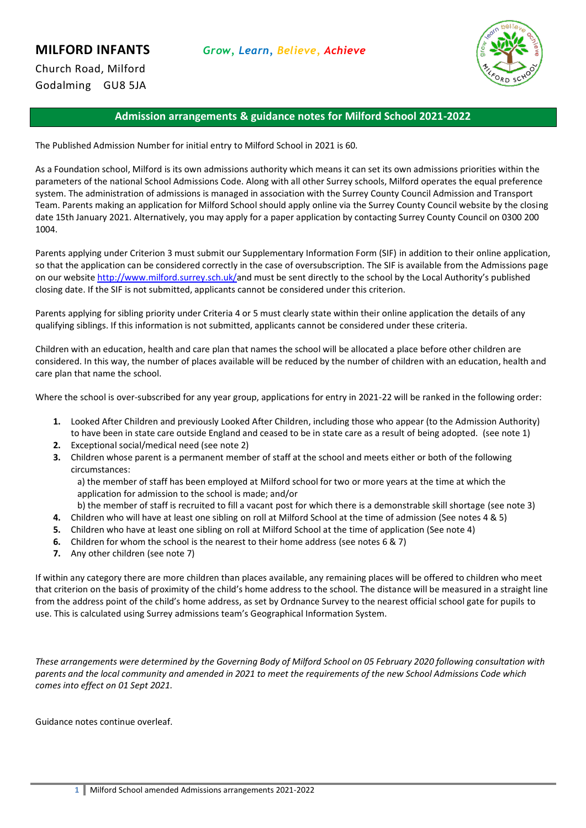

# **Admission arrangements & guidance notes for Milford School 2021-2022**

The Published Admission Number for initial entry to Milford School in 2021 is 60.

As a Foundation school, Milford is its own admissions authority which means it can set its own admissions priorities within the parameters of the national School Admissions Code. Along with all other Surrey schools, Milford operates the equal preference system. The administration of admissions is managed in association with the Surrey County Council Admission and Transport Team. Parents making an application for Milford School should apply online via the Surrey County Council website by the closing date 15th January 2021. Alternatively, you may apply for a paper application by contacting Surrey County Council on 0300 200 1004.

Parents applying under Criterion 3 must submit our Supplementary Information Form (SIF) in addition to their online application, so that the application can be considered correctly in the case of oversubscription. The SIF is available from the Admissions page on our website [http://www.milford.surrey.sch.uk/a](http://www.milford.surrey.sch.uk/)nd must be sent directly to the school by the Local Authority's published closing date. If the SIF is not submitted, applicants cannot be considered under this criterion.

Parents applying for sibling priority under Criteria 4 or 5 must clearly state within their online application the details of any qualifying siblings. If this information is not submitted, applicants cannot be considered under these criteria.

Children with an education, health and care plan that names the school will be allocated a place before other children are considered. In this way, the number of places available will be reduced by the number of children with an education, health and care plan that name the school.

Where the school is over-subscribed for any year group, applications for entry in 2021-22 will be ranked in the following order:

- **1.** Looked After Children and previously Looked After Children, including those who appear (to the Admission Authority) to have been in state care outside England and ceased to be in state care as a result of being adopted. (see note 1)
- **2.** Exceptional social/medical need (see note 2)
- **3.** Children whose parent is a permanent member of staff at the school and meets either or both of the following circumstances:

a) the member of staff has been employed at Milford school for two or more years at the time at which the application for admission to the school is made; and/or

b) the member of staff is recruited to fill a vacant post for which there is a demonstrable skill shortage (see note 3)

- **4.** Children who will have at least one sibling on roll at Milford School at the time of admission (See notes 4 & 5)
- **5.** Children who have at least one sibling on roll at Milford School at the time of application (See note 4)
- **6.** Children for whom the school is the nearest to their home address (see notes 6 & 7)
- **7.** Any other children (see note 7)

If within any category there are more children than places available, any remaining places will be offered to children who meet that criterion on the basis of proximity of the child's home address to the school. The distance will be measured in a straight line from the address point of the child's home address, as set by Ordnance Survey to the nearest official school gate for pupils to use. This is calculated using Surrey admissions team's Geographical Information System.

*These arrangements were determined by the Governing Body of Milford School on 05 February 2020 following consultation with parents and the local community and amended in 2021 to meet the requirements of the new School Admissions Code which comes into effect on 01 Sept 2021.*

Guidance notes continue overleaf.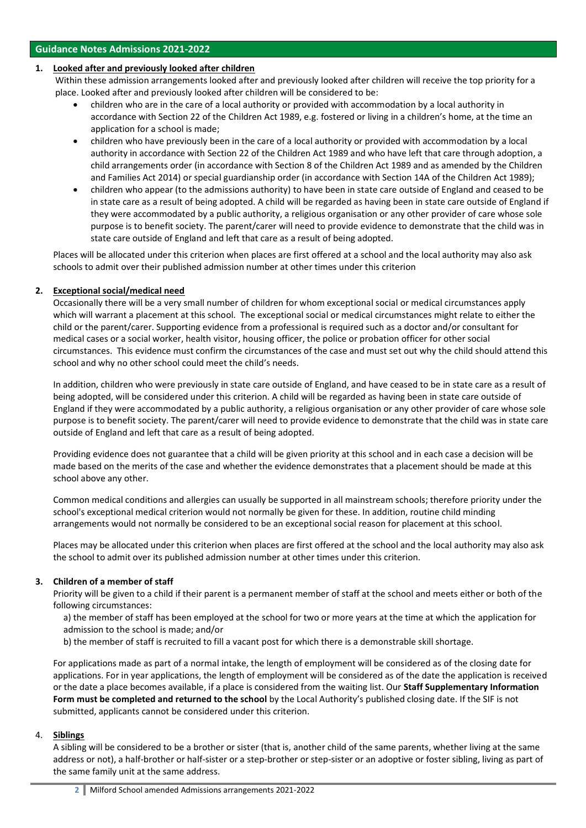#### **1. Looked after and previously looked after children**

Within these admission arrangements looked after and previously looked after children will receive the top priority for a place. Looked after and previously looked after children will be considered to be:

- children who are in the care of a local authority or provided with accommodation by a local authority in accordance with Section 22 of the Children Act 1989, e.g. fostered or living in a children's home, at the time an application for a school is made;
- children who have previously been in the care of a local authority or provided with accommodation by a local authority in accordance with Section 22 of the Children Act 1989 and who have left that care through adoption, a child arrangements order (in accordance with Section 8 of the Children Act 1989 and as amended by the Children and Families Act 2014) or special guardianship order (in accordance with Section 14A of the Children Act 1989);
- children who appear (to the admissions authority) to have been in state care outside of England and ceased to be in state care as a result of being adopted. A child will be regarded as having been in state care outside of England if they were accommodated by a public authority, a religious organisation or any other provider of care whose sole purpose is to benefit society. The parent/carer will need to provide evidence to demonstrate that the child was in state care outside of England and left that care as a result of being adopted.

Places will be allocated under this criterion when places are first offered at a school and the local authority may also ask schools to admit over their published admission number at other times under this criterion

# **2. Exceptional social/medical need**

Occasionally there will be a very small number of children for whom exceptional social or medical circumstances apply which will warrant a placement at this school. The exceptional social or medical circumstances might relate to either the child or the parent/carer. Supporting evidence from a professional is required such as a doctor and/or consultant for medical cases or a social worker, health visitor, housing officer, the police or probation officer for other social circumstances. This evidence must confirm the circumstances of the case and must set out why the child should attend this school and why no other school could meet the child's needs.

In addition, children who were previously in state care outside of England, and have ceased to be in state care as a result of being adopted, will be considered under this criterion. A child will be regarded as having been in state care outside of England if they were accommodated by a public authority, a religious organisation or any other provider of care whose sole purpose is to benefit society. The parent/carer will need to provide evidence to demonstrate that the child was in state care outside of England and left that care as a result of being adopted.

Providing evidence does not guarantee that a child will be given priority at this school and in each case a decision will be made based on the merits of the case and whether the evidence demonstrates that a placement should be made at this school above any other.

Common medical conditions and allergies can usually be supported in all mainstream schools; therefore priority under the school's exceptional medical criterion would not normally be given for these. In addition, routine child minding arrangements would not normally be considered to be an exceptional social reason for placement at this school.

Places may be allocated under this criterion when places are first offered at the school and the local authority may also ask the school to admit over its published admission number at other times under this criterion.

# **3. Children of a member of staff**

Priority will be given to a child if their parent is a permanent member of staff at the school and meets either or both of the following circumstances:

- a) the member of staff has been employed at the school for two or more years at the time at which the application for admission to the school is made; and/or
- b) the member of staff is recruited to fill a vacant post for which there is a demonstrable skill shortage.

For applications made as part of a normal intake, the length of employment will be considered as of the closing date for applications. For in year applications, the length of employment will be considered as of the date the application is received or the date a place becomes available, if a place is considered from the waiting list. Our **Staff Supplementary Information Form must be completed and returned to the school** by the Local Authority's published closing date. If the SIF is not submitted, applicants cannot be considered under this criterion.

#### 4. **Siblings**

A sibling will be considered to be a brother or sister (that is, another child of the same parents, whether living at the same address or not), a half-brother or half-sister or a step-brother or step-sister or an adoptive or foster sibling, living as part of the same family unit at the same address.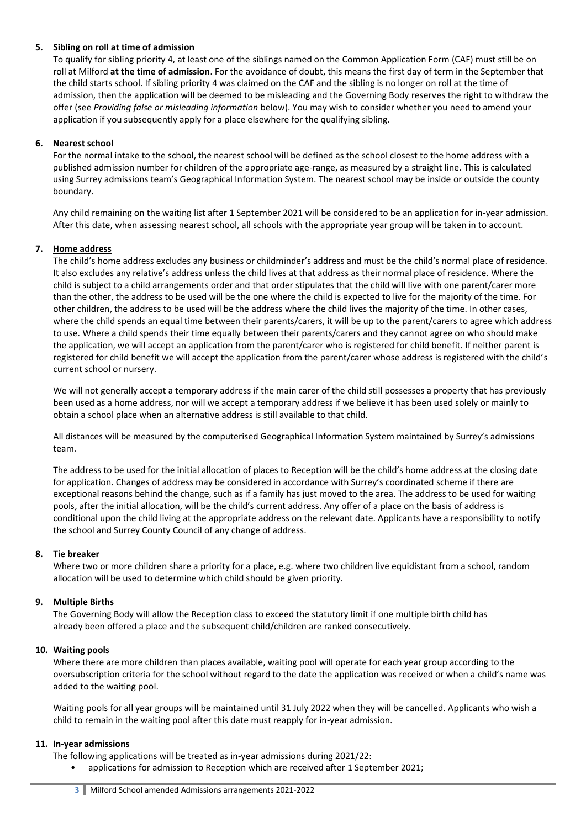## **5. Sibling on roll at time of admission**

To qualify for sibling priority 4, at least one of the siblings named on the Common Application Form (CAF) must still be on roll at Milford **at the time of admission**. For the avoidance of doubt, this means the first day of term in the September that the child starts school. If sibling priority 4 was claimed on the CAF and the sibling is no longer on roll at the time of admission, then the application will be deemed to be misleading and the Governing Body reserves the right to withdraw the offer (see *Providing false or misleading information* below). You may wish to consider whether you need to amend your application if you subsequently apply for a place elsewhere for the qualifying sibling.

#### **6. Nearest school**

For the normal intake to the school, the nearest school will be defined as the school closest to the home address with a published admission number for children of the appropriate age-range, as measured by a straight line. This is calculated using Surrey admissions team's Geographical Information System. The nearest school may be inside or outside the county boundary.

Any child remaining on the waiting list after 1 September 2021 will be considered to be an application for in-year admission. After this date, when assessing nearest school, all schools with the appropriate year group will be taken in to account.

## **7. Home address**

The child's home address excludes any business or childminder's address and must be the child's normal place of residence. It also excludes any relative's address unless the child lives at that address as their normal place of residence. Where the child is subject to a child arrangements order and that order stipulates that the child will live with one parent/carer more than the other, the address to be used will be the one where the child is expected to live for the majority of the time. For other children, the address to be used will be the address where the child lives the majority of the time. In other cases, where the child spends an equal time between their parents/carers, it will be up to the parent/carers to agree which address to use. Where a child spends their time equally between their parents/carers and they cannot agree on who should make the application, we will accept an application from the parent/carer who is registered for child benefit. If neither parent is registered for child benefit we will accept the application from the parent/carer whose address is registered with the child's current school or nursery.

We will not generally accept a temporary address if the main carer of the child still possesses a property that has previously been used as a home address, nor will we accept a temporary address if we believe it has been used solely or mainly to obtain a school place when an alternative address is still available to that child.

All distances will be measured by the computerised Geographical Information System maintained by Surrey's admissions team.

The address to be used for the initial allocation of places to Reception will be the child's home address at the closing date for application. Changes of address may be considered in accordance with Surrey's coordinated scheme if there are exceptional reasons behind the change, such as if a family has just moved to the area. The address to be used for waiting pools, after the initial allocation, will be the child's current address. Any offer of a place on the basis of address is conditional upon the child living at the appropriate address on the relevant date. Applicants have a responsibility to notify the school and Surrey County Council of any change of address.

#### **8. Tie breaker**

Where two or more children share a priority for a place, e.g. where two children live equidistant from a school, random allocation will be used to determine which child should be given priority.

#### **9. Multiple Births**

The Governing Body will allow the Reception class to exceed the statutory limit if one multiple birth child has already been offered a place and the subsequent child/children are ranked consecutively.

#### **10. Waiting pools**

Where there are more children than places available, waiting pool will operate for each year group according to the oversubscription criteria for the school without regard to the date the application was received or when a child's name was added to the waiting pool.

Waiting pools for all year groups will be maintained until 31 July 2022 when they will be cancelled. Applicants who wish a child to remain in the waiting pool after this date must reapply for in-year admission.

#### **11. In-year admissions**

- The following applications will be treated as in-year admissions during 2021/22:
	- applications for admission to Reception which are received after 1 September 2021;